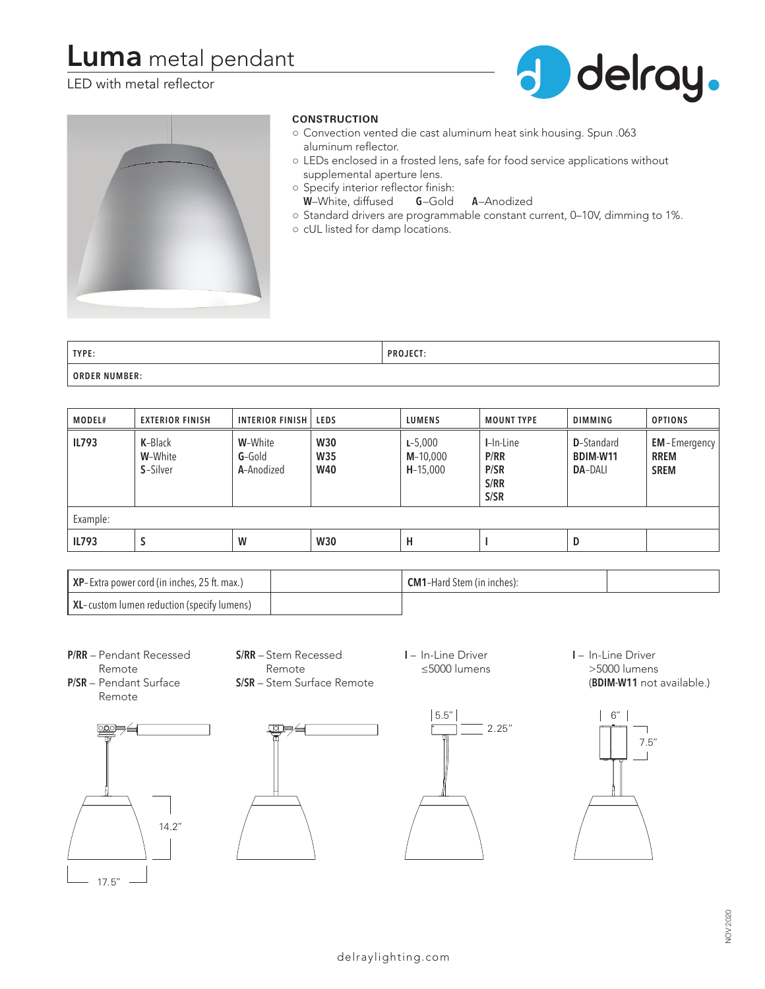# **Luma** metal pendant

## LED with metal reflector





### **CONSTRUCTION**

- Convection vented die cast aluminum heat sink housing. Spun .063 aluminum reflector.
- LEDs enclosed in a frosted lens, safe for food service applications without supplemental aperture lens.
- Specify interior reflector finish:
	- **W**–White, diffused **G**–Gold **A**–Anodized
- Standard drivers are programmable constant current, 0–10V, dimming to 1%.
- cUL listed for damp locations.

| TYPE:            | <b>PROJECT:</b> |
|------------------|-----------------|
| NUMBER:<br>ORDER |                 |

| MODEL#       | <b>EXTERIOR FINISH</b>         | <b>INTERIOR FINISH</b>            | <b>LEDS</b>                            | <b>LUMENS</b>                           | <b>MOUNT TYPE</b>                            | <b>DIMMING</b>                                   | <b>OPTIONS</b>                                    |
|--------------|--------------------------------|-----------------------------------|----------------------------------------|-----------------------------------------|----------------------------------------------|--------------------------------------------------|---------------------------------------------------|
| <b>IL793</b> | K-Black<br>W-White<br>S-Silver | W-White<br>$G-Gold$<br>A-Anodized | <b>W30</b><br><b>W35</b><br><b>W40</b> | $L - 5,000$<br>$M-10,000$<br>$H-15,000$ | $I-In$ -Line<br>P/RR<br>P/SR<br>S/RR<br>S/SR | <b>D</b> -Standard<br>BDIM-W11<br><b>DA-DALI</b> | <b>EM-Emergency</b><br><b>RREM</b><br><b>SREM</b> |
| Example:     |                                |                                   |                                        |                                         |                                              |                                                  |                                                   |
| <b>IL793</b> | S                              | W                                 | <b>W30</b>                             | н                                       |                                              | D                                                |                                                   |

| <b>XP</b> -Extra power cord (in inches, 25 ft. max.) | <b>CM1-Hard Stem (in inches):</b> |  |
|------------------------------------------------------|-----------------------------------|--|
| XL-custom lumen reduction (specify lumens)           |                                   |  |

**P/RR** – Pendant Recessed Remote

**S/RR** – Stem Recessed Remote **S/SR** – Stem Surface Remote **I** – In-Line Driver ≤5000 lumens

**I** – In-Line Driver >5000 lumens (**BDIM-W11** not available.)

**P/SR** – Pendant Surface Remote







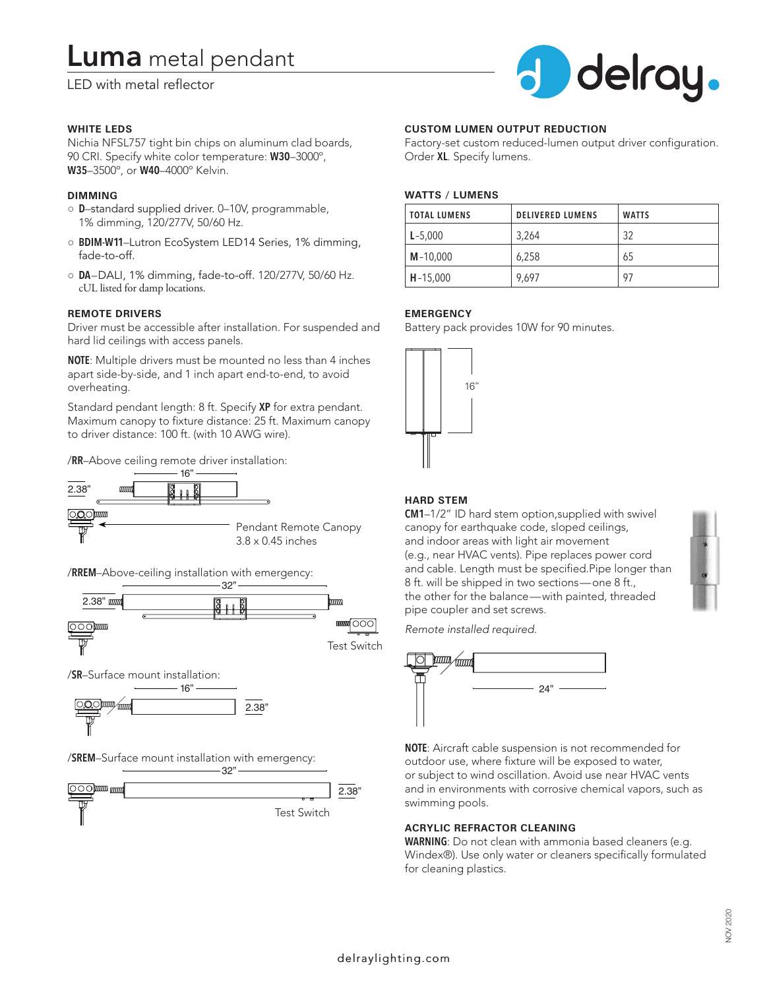# **Luma** metal pendant

LED with metal reflector

#### **WHITE LEDS**

Nichia NFSL757 tight bin chips on aluminum clad boards, 90 CRI. Specify white color temperature: **W30**–3000º, **W35**–3500º, or **W40**–4000º Kelvin.

#### **DIMMING**

- **D**–standard supplied driver. 0–10V, programmable, 1% dimming, 120/277V, 50/60 Hz.
- **BDIM-W11**–Lutron EcoSystem LED14 Series, 1% dimming, fade-to-off.
- **DA**–DALI, 1% dimming, fade-to-off. 120/277V, 50/60 Hz. cUL listed for damp locations.

#### **REMOTE DRIVERS**

Driver must be accessible after installation. For suspended and hard lid ceilings with access panels.

**NOTE**: Multiple drivers must be mounted no less than 4 inches apart side-by-side, and 1 inch apart end-to-end, to avoid overheating.

Standard pendant length: 8 ft. Specify **XP** for extra pendant. Maximum canopy to fixture distance: 25 ft. Maximum canopy to driver distance: 100 ft. (with 10 AWG wire).

/**RR**–Above ceiling remote driver installation:



/**RREM**–Above-ceiling installation with emergency:



/**SR**–Surface mount installation:



/**SREM**–Surface mount installation with emergency:





#### **CUSTOM LUMEN OUTPUT REDUCTION**

Factory-set custom reduced-lumen output driver configuration. Order **XL**. Specify lumens.

#### **WATTS / LUMENS**

| <b>TOTAL LUMENS</b> | <b>DELIVERED LUMENS</b> | <b>WATTS</b> |
|---------------------|-------------------------|--------------|
| $L - 5,000$         | 3,264                   | 32           |
| $M - 10,000$        | 6,258                   | 65           |
| $H - 15,000$        | 9,697                   | 97           |

#### **EMERGENCY**

Battery pack provides 10W for 90 minutes.



#### **HARD STEM**

**CM1**–1/2" ID hard stem option,supplied with swivel canopy for earthquake code, sloped ceilings, and indoor areas with light air movement (e.g., near HVAC vents). Pipe replaces power cord and cable. Length must be specified.Pipe longer than 8 ft. will be shipped in two sections—one 8 ft., the other for the balance—with painted, threaded pipe coupler and set screws.

*Remote installed required.*



**NOTE**: Aircraft cable suspension is not recommended for outdoor use, where fixture will be exposed to water, or subject to wind oscillation. Avoid use near HVAC vents and in environments with corrosive chemical vapors, such as swimming pools.

#### **ACRYLIC REFRACTOR CLEANING**

**WARNING**: Do not clean with ammonia based cleaners (e.g. Windex®). Use only water or cleaners specifically formulated for cleaning plastics.